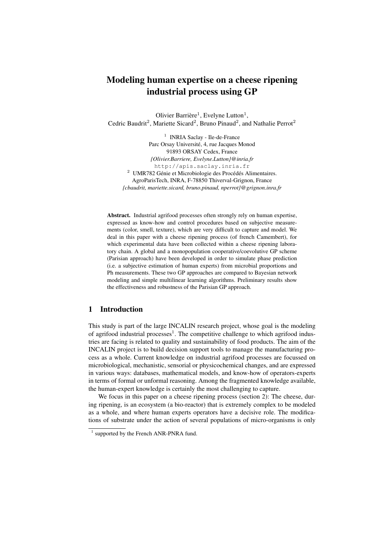# Modeling human expertise on a cheese ripening industrial process using GP

Olivier Barrière<sup>1</sup>, Evelyne Lutton<sup>1</sup>, Cedric Baudrit<sup>2</sup>, Mariette Sicard<sup>2</sup>, Bruno Pinaud<sup>2</sup>, and Nathalie Perrot<sup>2</sup>

<sup>1</sup> INRIA Saclay - Ile-de-France Parc Orsay Université, 4, rue Jacques Monod 91893 ORSAY Cedex, France *{Olivier.Barriere, Evelyne.Lutton}@inria.fr* http://apis.saclay.inria.fr <sup>2</sup> UMR782 Génie et Microbiologie des Procédés Alimentaires. AgroParisTech, INRA, F-78850 Thiverval-Grignon, France *{cbaudrit, mariette.sicard, bruno.pinaud, nperrot}@grignon.inra.fr*

Abstract. Industrial agrifood processes often strongly rely on human expertise, expressed as know-how and control procedures based on subjective measurements (color, smell, texture), which are very difficult to capture and model. We deal in this paper with a cheese ripening process (of french Camembert), for which experimental data have been collected within a cheese ripening laboratory chain. A global and a monopopulation cooperative/coevolutive GP scheme (Parisian approach) have been developed in order to simulate phase prediction (i.e. a subjective estimation of human experts) from microbial proportions and Ph measurements. These two GP approaches are compared to Bayesian network modeling and simple multilinear learning algorithms. Preliminary results show the effectiveness and robustness of the Parisian GP approach.

# 1 Introduction

This study is part of the large INCALIN research project, whose goal is the modeling of agrifood industrial processes<sup>1</sup>. The competitive challenge to which agrifood industries are facing is related to quality and sustainability of food products. The aim of the INCALIN project is to build decision support tools to manage the manufacturing process as a whole. Current knowledge on industrial agrifood processes are focussed on microbiological, mechanistic, sensorial or physicochemical changes, and are expressed in various ways: databases, mathematical models, and know-how of operators-experts in terms of formal or unformal reasoning. Among the fragmented knowledge available, the human-expert knowledge is certainly the most challenging to capture.

We focus in this paper on a cheese ripening process (section 2): The cheese, during ripening, is an ecosystem (a bio-reactor) that is extremely complex to be modeled as a whole, and where human experts operators have a decisive role. The modifications of substrate under the action of several populations of micro-organisms is only

<sup>&</sup>lt;sup>1</sup> supported by the French ANR-PNRA fund.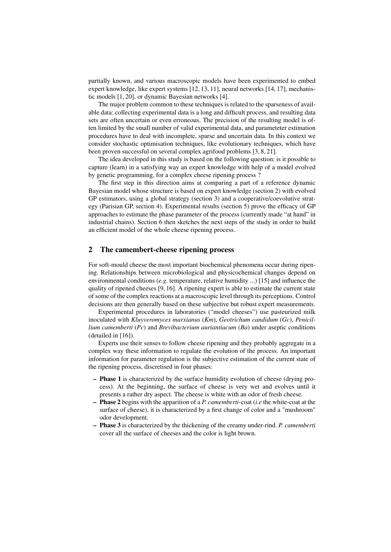partially known, and various macroscopic models have been experimented to embed expert knowledge, like expert systems [12, 13, 11], neural networks [14, 17], mechanistic models [1, 20], or dynamic Bayesian networks [4].

The major problem common to these techniques is related to the sparseness of available data: collecting experimental data is a long and difficult process, and resulting data sets are often uncertain or even erroneous. The precision of the resulting model is often limited by the small number of valid experimental data, and parameteter estimation procedures have to deal with incomplete, sparse and uncertain data. In this context we consider stochastic optimisation techniques, like evolutionary techniques, which have been proven successful on several complex agrifood problems [3, 8, 21].

The idea developed in this study is based on the following question: is it possible to capture (learn) in a satisfying way an expert knowledge with help of a model evolved by genetic programming, for a complex cheese ripening process ?

The first step in this direction aims at comparing a part of a reference dynamic Bayesian model whose structure is based on expert knowledge (section 2) with evolved GP estimators, using a global strategy (section 3) and a cooperative/coevolutive strategy (Parisian GP, section 4). Experimental results (section 5) prove the efficacy of GP approaches to estimate the phase parameter of the process (currently made "at hand" in industrial chains). Section 6 then sketches the next steps of the study in order to build an efficient model of the whole cheese ripening process.

## 2 The camembert-cheese ripening process

For soft-mould cheese the most important biochemical phenomena occur during ripening. Relationships between microbiological and physicochemical changes depend on environmental conditions (*e.g.* temperature, relative humidity ...) [15] and influence the quality of ripened cheeses [9, 16]. A ripening expert is able to estimate the current state of some of the complex reactions at a macroscopic level through its perceptions. Control decisions are then generally based on these subjective but robust expert measurements.

Experimental procedures in laboratories ("model cheeses") use pasteurized milk inoculated with *Kluyveromyces marxianus* (*Km*), *Geotrichum candidum* (*Gc*), *Penicillium camemberti* (*Pc*) and *Brevibacterium auriantiacum* (*Ba*) under aseptic conditions (detailed in [16]).

Experts use their senses to follow cheese ripening and they probably aggregate in a complex way these information to regulate the evolution of the process. An important information for parameter regulation is the subjective estimation of the current state of the ripening process, discretised in four phases:

- Phase 1 is characterized by the surface humidity evolution of cheese (drying process). At the beginning, the surface of cheese is very wet and evolves until it presents a rather dry aspect. The cheese is white with an odor of fresh cheese.
- Phase 2 begins with the apparition of a *P. camemberti*-coat (*i.e* the white-coat at the surface of cheese), it is characterized by a first change of color and a "mushroom" odor development.
- Phase 3 is characterized by the thickening of the creamy under-rind. *P. camemberti* cover all the surface of cheeses and the color is light brown.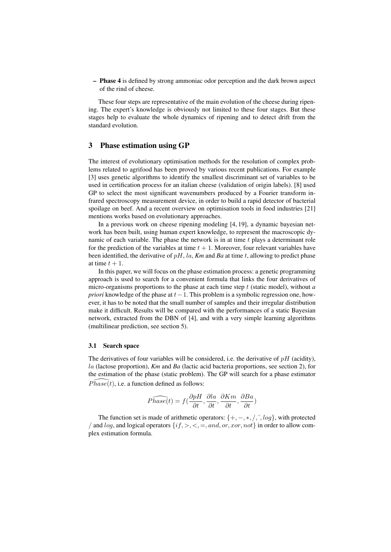– Phase 4 is defined by strong ammoniac odor perception and the dark brown aspect of the rind of cheese.

These four steps are representative of the main evolution of the cheese during ripening. The expert's knowledge is obviously not limited to these four stages. But these stages help to evaluate the whole dynamics of ripening and to detect drift from the standard evolution.

### 3 Phase estimation using GP

The interest of evolutionary optimisation methods for the resolution of complex problems related to agrifood has been proved by various recent publications. For example [3] uses genetic algorithms to identify the smallest discriminant set of variables to be used in certification process for an italian cheese (validation of origin labels). [8] used GP to select the most significant wavenumbers produced by a Fourier transform infrared spectroscopy measurement device, in order to build a rapid detector of bacterial spoilage on beef. And a recent overview on optimisation tools in food industries [21] mentions works based on evolutionary approaches.

In a previous work on cheese ripening modeling [4, 19], a dynamic bayesian network has been built, using human expert knowledge, to represent the macroscopic dynamic of each variable. The phase the network is in at time *t* plays a determinant role for the prediction of the variables at time  $t + 1$ . Moreover, four relevant variables have been identified, the derivative of *pH*, *la*, *Km* and *Ba* at time *t*, allowing to predict phase at time  $t + 1$ .

In this paper, we will focus on the phase estimation process: a genetic programming approach is used to search for a convenient formula that links the four derivatives of micro-organisms proportions to the phase at each time step *t* (static model), without *a priori* knowledge of the phase at  $t$  − 1. This problem is a symbolic regression one, however, it has to be noted that the small number of samples and their irregular distribution make it difficult. Results will be compared with the performances of a static Bayesian network, extracted from the DBN of [4], and with a very simple learning algorithms (multilinear prediction, see section 5).

#### 3.1 Search space

The derivatives of four variables will be considered, i.e. the derivative of *pH* (acidity), *la* (lactose proportion), *Km* and *Ba* (lactic acid bacteria proportions, see section 2), for the estimation of the phase (static problem). The GP will search for a phase estimator  $Phase(t)$ , i.e. a function defined as follows:

$$
\widehat{Phase}(t) = f(\frac{\partial pH}{\partial t}, \frac{\partial la}{\partial t}, \frac{\partial Km}{\partial t}, \frac{\partial Ba}{\partial t})
$$

The function set is made of arithmetic operators: *{*+*, −, ∗, /,*ˆ*, log}*, with protected */* and *log*, and logical operators *{if, >, <,* =*, and, or, xor, not}* in order to allow complex estimation formula.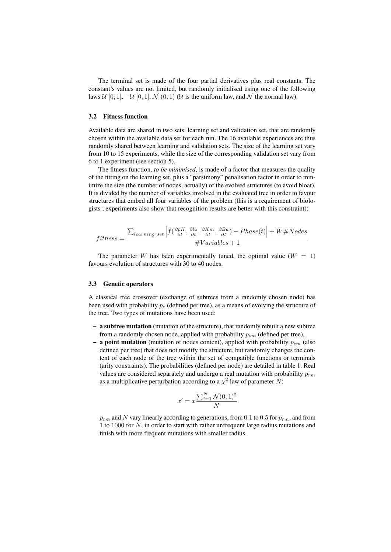The terminal set is made of the four partial derivatives plus real constants. The constant's values are not limited, but randomly initialised using one of the following laws *U* [0, 1],  $−U$  [0, 1],  $N$  (0, 1) (*U* is the uniform law, and  $N$  the normal law).

### 3.2 Fitness function

Available data are shared in two sets: learning set and validation set, that are randomly chosen within the available data set for each run. The 16 available experiences are thus randomly shared between learning and validation sets. The size of the learning set vary from 10 to 15 experiments, while the size of the corresponding validation set vary from 6 to 1 experiment (see section 5).

The fitness function, *to be minimised*, is made of a factor that measures the quality of the fitting on the learning set, plus a "parsimony" penalisation factor in order to minimize the size (the number of nodes, actually) of the evolved structures (to avoid bloat). It is divided by the number of variables involved in the evaluated tree in order to favour structures that embed all four variables of the problem (this is a requirement of biologists ; experiments also show that recognition results are better with this constraint):

$$
fitness = \frac{\sum_{learning\_set} \left| f(\frac{\partial pH}{\partial t}, \frac{\partial la}{\partial t}, \frac{\partial Km}{\partial t}, \frac{\partial Ba}{\partial t}) - Phase(t) \right| + W \# Nodes}{\#Variables + 1}
$$

The parameter *W* has been experimentally tuned, the optimal value  $(W = 1)$ favours evolution of structures with 30 to 40 nodes.

#### 3.3 Genetic operators

A classical tree crossover (exchange of subtrees from a randomly chosen node) has been used with probability  $p_c$  (defined per tree), as a means of evolving the structure of the tree. Two types of mutations have been used:

- a subtree mutation (mutation of the structure), that randomly rebuilt a new subtree from a randomly chosen node, applied with probability  $p_{sm}$  (defined per tree),
- $-$  **a point mutation** (mutation of nodes content), applied with probability  $p_{cm}$  (also defined per tree) that does not modify the structure, but randomly changes the content of each node of the tree within the set of compatible functions or terminals (arity constraints). The probabilities (defined per node) are detailed in table 1. Real values are considered separately and undergo a real mutation with probability *prm* as a multiplicative perturbation according to a  $\chi^2$  law of parameter N:

$$
x' = x \frac{\sum_{i=1}^{N} \mathcal{N}(0, 1)^2}{N}
$$

*prm* and *N* vary linearly according to generations, from 0*.*1 to 0*.*5 for *prm*, and from 1 to 1000 for *N*, in order to start with rather unfrequent large radius mutations and finish with more frequent mutations with smaller radius.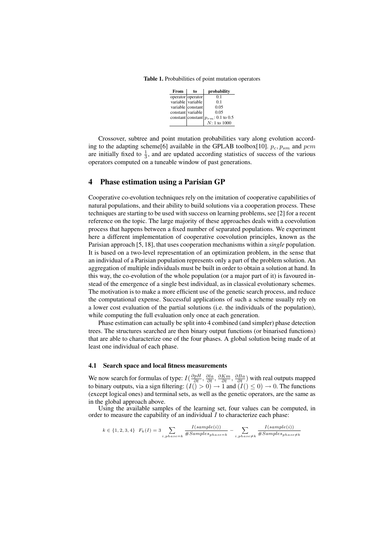Table 1. Probabilities of point mutation operators

| From | to                | probability                            |
|------|-------------------|----------------------------------------|
|      | operator operator | 0.1                                    |
|      | variable variable | 0.1                                    |
|      | variable constant | 0.05                                   |
|      | constant variable | 0.05                                   |
|      |                   | constant constant $p_{rm}: 0.1$ to 0.5 |
|      |                   | $N: 1$ to 1000                         |

Crossover, subtree and point mutation probabilities vary along evolution according to the adapting scheme[6] available in the GPLAB toolbox[10]. *pc, psm* and *pcm* are initially fixed to  $\frac{1}{3}$ , and are updated according statistics of success of the various operators computed on a tuneable window of past generations.

## 4 Phase estimation using a Parisian GP

Cooperative co-evolution techniques rely on the imitation of cooperative capabilities of natural populations, and their ability to build solutions via a cooperation process. These techniques are starting to be used with success on learning problems, see [2] for a recent reference on the topic. The large majority of these approaches deals with a coevolution process that happens between a fixed number of separated populations. We experiment here a different implementation of cooperative coevolution principles, known as the Parisian approach [5, 18], that uses cooperation mechanisms within a *single* population. It is based on a two-level representation of an optimization problem, in the sense that an individual of a Parisian population represents only a part of the problem solution. An aggregation of multiple individuals must be built in order to obtain a solution at hand. In this way, the co-evolution of the whole population (or a major part of it) is favoured instead of the emergence of a single best individual, as in classical evolutionary schemes. The motivation is to make a more efficient use of the genetic search process, and reduce the computational expense. Successful applications of such a scheme usually rely on a lower cost evaluation of the partial solutions (i.e. the individuals of the population), while computing the full evaluation only once at each generation.

Phase estimation can actually be split into 4 combined (and simpler) phase detection trees. The structures searched are then binary output functions (or binarised functions) that are able to characterize one of the four phases. A global solution being made of at least one individual of each phase.

#### 4.1 Search space and local fitness measurements

We now search for formulas of type:  $I(\frac{\partial pH}{\partial t}, \frac{\partial la}{\partial t}, \frac{\partial Km}{\partial t}, \frac{\partial Ba}{\partial t})$  with real outputs mapped to binary outputs, via a sign filtering:  $(I() > 0) \rightarrow 1$  and  $(I() \le 0) \rightarrow 0$ . The functions (except logical ones) and terminal sets, as well as the genetic operators, are the same as in the global approach above.

Using the available samples of the learning set, four values can be computed, in order to measure the capability of an individual *I* to characterize each phase:

$$
k \in \{1,2,3,4\} \quad F_k(I) = 3 \sum_{i,phase=k} \frac{I(sample(i))}{\# Samples_{phase=k}} - \sum_{i,phase \neq k} \frac{I(sample(i))}{\# Samples_{phase \neq k}}
$$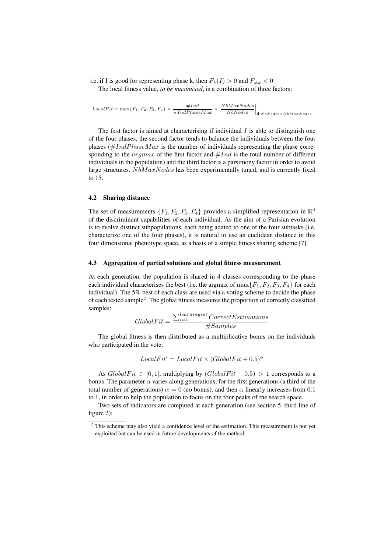i.e. if I is good for representing phase k, then  $F_k(I) > 0$  and  $F_{\neq k} < 0$ The local fitness value, *to be maximised*, is a combination of three factors:

 $LocalFit = max{F_1, F_2, F_3, F_4} \times \frac{\#Ind}{\#IndPhaseMax} \times \frac{NbMaxNodes}{NbNodes}$ *N bNodes*  $\bigg|\begin{array}{c} \begin{array}{c} \begin{array}{c} \end{array}\\ \text{if $NbNodes>NbMaxNodes} \end{array} \end{array}$ 

The first factor is aimed at characterising if individual *I* is able to distinguish one of the four phases, the second factor tends to balance the individuals between the four phases  $(\#IndPhaseMax$  is the number of individuals representing the phase corresponding to the  $\argmax$  of the first factor and  $\#Ind$  is the total number of different individuals in the population) and the third factor is a parsimony factor in order to avoid large structures. *N bM axNodes* has been experimentally tuned, and is currently fixed to 15.

### 4.2 Sharing distance

The set of measurements  $\{F_1, F_2, F_3, F_4\}$  provides a simplified representation in  $\mathbb{R}^4$ of the discriminant capabilities of each individual. As the aim of a Parisian evolution is to evolve distinct subpopulations, each being adated to one of the four subtasks (i.e. characterize one of the four phases), it is natural to use an euclidean distance in this four dimensional phenotype space, as a basis of a simple fitness sharing scheme [7].

#### 4.3 Aggregation of partial solutions and global fitness measurement

At each generation, the population is shared in 4 classes corresponding to the phase each individual characterises the best (i.e. the argmax of  $\max\{F_1, F_2, F_3, F_4\}$  for each individual). The 5% best of each class are used via a voting scheme to decide the phase of each tested sample<sup>2</sup>. The global fitness measures the proportion of correctly classified samples:

$$
GlobalFit = \frac{\sum_{i=1}^{learningset} CorrectEstimations}{\# Samples}
$$

The global fitness is then distributed as a multiplicative bonus on the individuals who participated in the vote:

$$
LocalFit' = LocalFit \times (GlobalFit + 0.5)^{\alpha}
$$

As  $GlobalFit \in [0, 1]$ , multiplying by  $(GlobalFit + 0.5) > 1$  corresponds to a bonus. The parameter  $\alpha$  varies along generations, for the first generations (a third of the total number of generations)  $\alpha = 0$  (no bonus), and then  $\alpha$  linearly increases from 0.1 to 1, in order to help the population to focus on the four peaks of the search space.

Two sets of indicators are computed at each generation (see section 5, third line of figure 2):

<sup>&</sup>lt;sup>2</sup> This scheme may also yield a confidence level of the estimation. This measurement is not yet exploited but can be used in future developments of the method.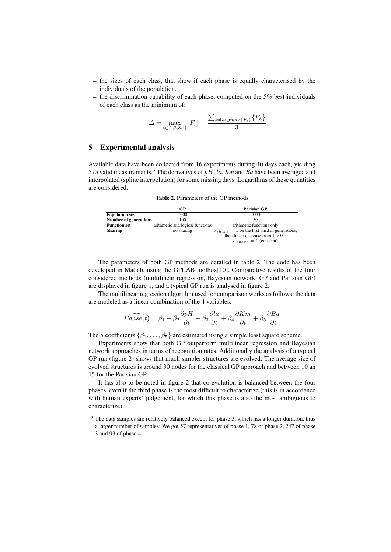- the sizes of each class, that show if each phase is equally characterised by the individuals of the population.
- $-$  the discrimination capability of each phase, computed on the 5% best individuals of each class as the minimum of:

$$
\Delta = \max_{i \in [1,2,3,4]} \{F_i\} - \frac{\sum_{k \neq argmax\{F_i\}} \{F_k\}}{3}
$$

# 5 Experimental analysis

Available data have been collected from 16 experiments during 40 days each, yielding 575 valid measurements.<sup>3</sup> The derivatives of  $pH$ ,  $la$ ,  $Km$  and  $Ba$  have been averaged and interpolated (spline interpolation) for some missing days. Logarithms of these quantities are considered.

Table 2. Parameters of the GP methods

|                        | GP                               | <b>Parisian GP</b>                                      |
|------------------------|----------------------------------|---------------------------------------------------------|
| <b>Population size</b> | 1000                             | 1000                                                    |
| Number of generations  | 100                              | 50                                                      |
| <b>Function set</b>    | arithmetic and logical functions | arithmetic functions only                               |
| <b>Sharing</b>         | no sharing                       | $\sigma_{share} = 1$ on the first third of generations, |
|                        |                                  | then linear decrease from 1 to 0.1                      |
|                        |                                  | $\alpha_{share} = 1$ (constant)                         |

The parameters of both GP methods are detailed in table 2. The code has been developed in Matlab, using the GPLAB toolbox[10]. Comparative results of the four considered methods (multilinear regression, Bayesian network, GP and Parisian GP) are displayed in figure 1, and a typical GP run is analysed in figure 2.

The multilinear regression algorithm used for comparison works as follows: the data are modeled as a linear combination of the 4 variables:

$$
\widehat{Phase}(t) = \beta_1 + \beta_2 \frac{\partial pH}{\partial t} + \beta_3 \frac{\partial la}{\partial t} + \beta_4 \frac{\partial Km}{\partial t} + \beta_5 \frac{\partial Ba}{\partial t}
$$

The 5 coefficients  $\{\beta_1, \dots, \beta_5\}$  are estimated using a simple least square scheme.

Experiments show that both GP outperform multilinear regression and Bayesian network approaches in terms of recognition rates. Additionally the analysis of a typical GP run (figure 2) shows that much simpler structures are evolved: The average size of evolved structures is around 30 nodes for the classical GP approach and between 10 an 15 for the Parisian GP.

It has also to be noted in figure 2 that co-evolution is balanced between the four phases, even if the third phase is the most difficult to characterize (this is in accordance with human experts' judgement, for which this phase is also the most ambiguous to characterize).

 $3$  The data samples are relatively balanced except for phase 3, which has a longer duration, thus a larger number of samples: We got 57 representatives of phase 1, 78 of phase 2, 247 of phase 3 and 93 of phase 4.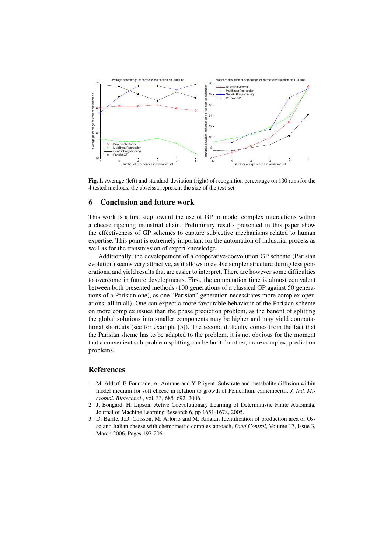

Fig. 1. Average (left) and standard-deviation (right) of recognition percentage on 100 runs for the 4 tested methods, the abscissa represent the size of the test-set

### 6 Conclusion and future work

This work is a first step toward the use of GP to model complex interactions within a cheese ripening industrial chain. Preliminary results presented in this paper show the effectiveness of GP schemes to capture subjective mechanisms related to human expertise. This point is extremely important for the automation of industrial process as well as for the transmission of expert knowledge.

Additionally, the developement of a cooperative-coevolution GP scheme (Parisian evolution) seems very attractive, as it allows to evolve simpler structure during less generations, and yield results that are easier to interpret. There are however some difficulties to overcome in future developments. First, the computation time is almost equivalent between both presented methods (100 generations of a classical GP against 50 generations of a Parisian one), as one "Parisian" generation necessitates more complex operations, all in all). One can expect a more favourable behaviour of the Parisian scheme on more complex issues than the phase prediction problem, as the benefit of splitting the global solutions into smaller components may be higher and may yield computational shortcuts (see for example [5]). The second difficulty comes from the fact that the Parisian sheme has to be adapted to the problem, it is not obvious for the moment that a convenient sub-problem splitting can be built for other, more complex, prediction problems.

### References

- 1. M. Aldarf, F. Fourcade, A. Amrane and Y. Prigent, Substrate and metabolite diffusion within model medium for soft cheese in relation to growth of Penicillium camembertii. *J. Ind. Microbiol. Biotechnol.*, vol. 33, 685–692, 2006.
- 2. J. Bongard, H. Lipson, Active Coevolutionary Learning of Deterministic Finite Automata, Journal of Machine Learning Research 6, pp 1651-1678, 2005.
- 3. D. Barile, J.D. Coisson, M. Arlorio and M. Rinaldi, Identification of production area of Ossolano Italian cheese with chemometric complex aproach, *Food Control*, Volume 17, Issue 3, March 2006, Pages 197-206.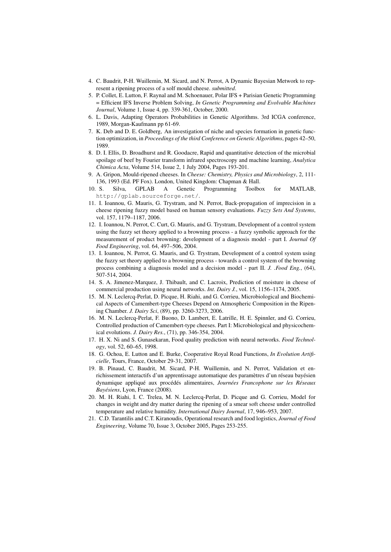- 4. C. Baudrit, P-H. Wuillemin, M. Sicard, and N. Perrot, A Dynamic Bayesian Metwork to represent a ripening process of a solf mould cheese. *submitted*.
- 5. P. Collet, E. Lutton, F. Raynal and M. Schoenauer, Polar IFS + Parisian Genetic Programming = Efficient IFS Inverse Problem Solving, *In Genetic Programming and Evolvable Machines Journal*, Volume 1, Issue 4, pp. 339-361, October, 2000.
- 6. L. Davis, Adapting Operators Probabilities in Genetic Algorithms. 3rd ICGA conference, 1989, Morgan-Kaufmann pp 61-69.
- 7. K. Deb and D. E. Goldberg, An investigation of niche and species formation in genetic function optimization, in *Proceedings of the third Conference on Genetic Algorithms*, pages 42–50, 1989.
- 8. D. I. Ellis, D. Broadhurst and R. Goodacre, Rapid and quantitative detection of the microbial spoilage of beef by Fourier transform infrared spectroscopy and machine learning, *Analytica Chimica Acta*, Volume 514, Issue 2, 1 July 2004, Pages 193-201.
- 9. A. Gripon, Mould-ripened cheeses. In *Cheese: Chemistry, Physics and Microbiology*, 2, 111- 136, 1993 (Ed. PF Fox). London, United Kingdom: Chapman & Hall.
- 10. S. Silva, GPLAB A Genetic Programming Toolbox for MATLAB, http://gplab.sourceforge.net/.
- 11. I. Ioannou, G. Mauris, G. Trystram, and N. Perrot, Back-propagation of imprecision in a cheese ripening fuzzy model based on human sensory evaluations. *Fuzzy Sets And Systems*, vol. 157, 1179–1187, 2006.
- 12. I. Ioannou, N. Perrot, C. Curt, G. Mauris, and G. Trystram, Development of a control system using the fuzzy set theory applied to a browning process - a fuzzy symbolic approach for the measurement of product browning: development of a diagnosis model - part I. *Journal Of Food Engineering*, vol. 64, 497–506, 2004.
- 13. I. Ioannou, N. Perrot, G. Mauris, and G. Trystram, Development of a control system using the fuzzy set theory applied to a browning process - towards a control system of the browning process combining a diagnosis model and a decision model - part II. *J. .Food Eng.*, (64), 507-514, 2004.
- 14. S. A. Jimenez-Marquez, J. Thibault, and C. Lacroix, Prediction of moisture in cheese of commercial production using neural networks. *Int. Dairy J.*, vol. 15, 1156–1174, 2005.
- 15. M. N. Leclercq-Perlat, D. Picque, H. Riahi, and G. Corrieu, Microbiological and Biochemical Aspects of Camembert-type Cheeses Depend on Atmospheric Composition in the Ripening Chamber. *J. Dairy Sci*, (89), pp. 3260-3273, 2006.
- 16. M. N. Leclercq-Perlat, F. Buono, D. Lambert, E. Latrille, H. E. Spinnler, and G. Corrieu, Controlled production of Camembert-type cheeses. Part I: Microbiological and physicochemical evolutions. *J. Dairy Res.*, (71), pp. 346-354, 2004.
- 17. H. X. Ni and S. Gunasekaran, Food quality prediction with neural networks. *Food Technology*, vol. 52, 60–65, 1998.
- 18. G. Ochoa, E. Lutton and E. Burke, Cooperative Royal Road Functions, *In Evolution Artificielle*, Tours, France, October 29-31, 2007.
- 19. B. Pinaud, C. Baudrit, M. Sicard, P-H. Wuillemin, and N. Perrot, Validation et enrichissement interactifs d'un apprentissage automatique des paramètres d'un réseau bayésien dynamique appliqué aux procédés alimentaires, *Journées Francophone sur les Réseaux Bayésiens*, Lyon, France (2008).
- 20. M. H. Riahi, I. C. Trelea, M. N. Leclercq-Perlat, D. Picque and G. Corrieu, Model for changes in weight and dry matter during the ripening of a smear soft cheese under controlled temperature and relative humidity. *International Dairy Journal*, 17, 946–953, 2007.
- 21. C.D. Tarantilis and C.T. Kiranoudis, Operational research and food logistics, *Journal of Food Engineering*, Volume 70, Issue 3, October 2005, Pages 253-255.